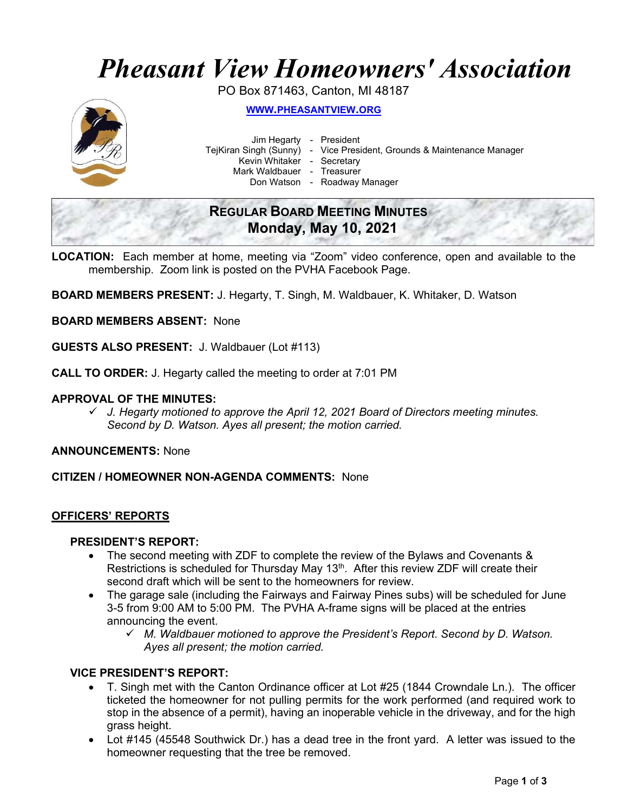# Pheasant View Homeowners' Association

PO Box 871463, Canton, MI 48187



WWW.PHEASANTVIEW.ORG

Jim Hegarty - President

TejKiran Singh (Sunny) - Vice President, Grounds & Maintenance Manager

Kevin Whitaker - Secretary

Mark Waldbauer - Treasurer

Don Watson - Roadway Manager

## REGULAR BOARD MEETING MINUTES Monday, May 10, 2021

LOCATION: Each member at home, meeting via "Zoom" video conference, open and available to the membership. Zoom link is posted on the PVHA Facebook Page.

BOARD MEMBERS PRESENT: J. Hegarty, T. Singh, M. Waldbauer, K. Whitaker, D. Watson

BOARD MEMBERS ABSENT: None

GUESTS ALSO PRESENT: J. Waldbauer (Lot #113)

CALL TO ORDER: J. Hegarty called the meeting to order at 7:01 PM

#### APPROVAL OF THE MINUTES:

 $\checkmark$  J. Hegarty motioned to approve the April 12, 2021 Board of Directors meeting minutes. Second by D. Watson. Ayes all present; the motion carried.

ANNOUNCEMENTS: None

CITIZEN / HOMEOWNER NON-AGENDA COMMENTS: None

#### OFFICERS' REPORTS

#### PRESIDENT'S REPORT:

- The second meeting with ZDF to complete the review of the Bylaws and Covenants & Restrictions is scheduled for Thursday May 13<sup>th</sup>. After this review ZDF will create their second draft which will be sent to the homeowners for review.
- The garage sale (including the Fairways and Fairway Pines subs) will be scheduled for June 3-5 from 9:00 AM to 5:00 PM. The PVHA A-frame signs will be placed at the entries announcing the event.
	- $\checkmark$  M. Waldbauer motioned to approve the President's Report. Second by D. Watson. Ayes all present; the motion carried.

#### VICE PRESIDENT'S REPORT:

- T. Singh met with the Canton Ordinance officer at Lot #25 (1844 Crowndale Ln.). The officer ticketed the homeowner for not pulling permits for the work performed (and required work to stop in the absence of a permit), having an inoperable vehicle in the driveway, and for the high grass height.
- Lot #145 (45548 Southwick Dr.) has a dead tree in the front yard. A letter was issued to the homeowner requesting that the tree be removed.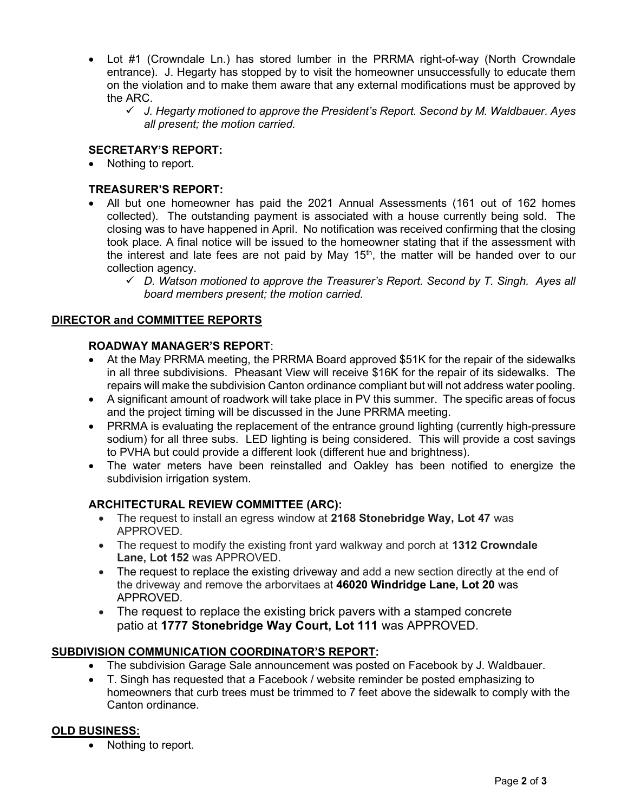- Lot #1 (Crowndale Ln.) has stored lumber in the PRRMA right-of-way (North Crowndale entrance). J. Hegarty has stopped by to visit the homeowner unsuccessfully to educate them on the violation and to make them aware that any external modifications must be approved by the ARC.
	- $\checkmark$  J. Hegarty motioned to approve the President's Report. Second by M. Waldbauer. Ayes all present; the motion carried.

## SECRETARY'S REPORT:

• Nothing to report.

## TREASURER'S REPORT:

- All but one homeowner has paid the 2021 Annual Assessments (161 out of 162 homes collected). The outstanding payment is associated with a house currently being sold. The closing was to have happened in April. No notification was received confirming that the closing took place. A final notice will be issued to the homeowner stating that if the assessment with the interest and late fees are not paid by May  $15<sup>th</sup>$ , the matter will be handed over to our collection agency.
	- $\checkmark$  D. Watson motioned to approve the Treasurer's Report. Second by T. Singh. Ayes all board members present; the motion carried.

#### DIRECTOR and COMMITTEE REPORTS

#### ROADWAY MANAGER'S REPORT:

- At the May PRRMA meeting, the PRRMA Board approved \$51K for the repair of the sidewalks in all three subdivisions. Pheasant View will receive \$16K for the repair of its sidewalks. The repairs will make the subdivision Canton ordinance compliant but will not address water pooling.
- A significant amount of roadwork will take place in PV this summer. The specific areas of focus and the project timing will be discussed in the June PRRMA meeting.
- PRRMA is evaluating the replacement of the entrance ground lighting (currently high-pressure sodium) for all three subs. LED lighting is being considered. This will provide a cost savings to PVHA but could provide a different look (different hue and brightness).
- The water meters have been reinstalled and Oakley has been notified to energize the subdivision irrigation system.

#### ARCHITECTURAL REVIEW COMMITTEE (ARC):

- The request to install an egress window at 2168 Stonebridge Way, Lot 47 was APPROVED.
- The request to modify the existing front yard walkway and porch at 1312 Crowndale Lane, Lot 152 was APPROVED.
- The request to replace the existing driveway and add a new section directly at the end of the driveway and remove the arborvitaes at 46020 Windridge Lane, Lot 20 was APPROVED.
- The request to replace the existing brick pavers with a stamped concrete patio at 1777 Stonebridge Way Court, Lot 111 was APPROVED.

#### SUBDIVISION COMMUNICATION COORDINATOR'S REPORT:

- The subdivision Garage Sale announcement was posted on Facebook by J. Waldbauer.
- T. Singh has requested that a Facebook / website reminder be posted emphasizing to homeowners that curb trees must be trimmed to 7 feet above the sidewalk to comply with the Canton ordinance.

#### OLD BUSINESS:

Nothing to report.